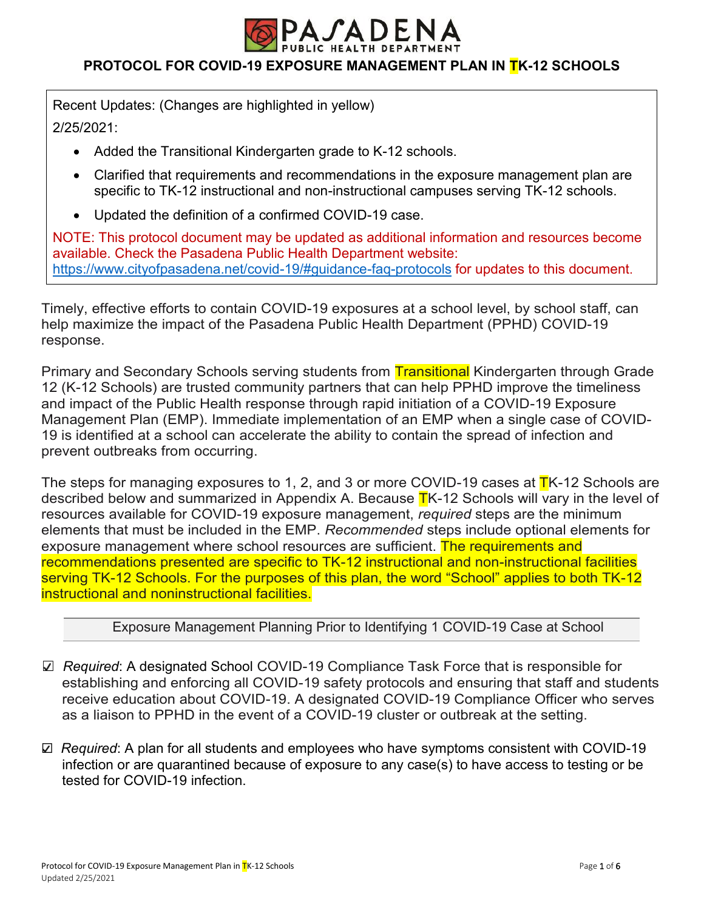

## **PROTOCOL FOR COVID-19 EXPOSURE MANAGEMENT PLAN IN TK-12 SCHOOLS**

Recent Updates: (Changes are highlighted in yellow) 2/25/2021:

- Added the Transitional Kindergarten grade to K-12 schools.
- Clarified that requirements and recommendations in the exposure management plan are specific to TK-12 instructional and non-instructional campuses serving TK-12 schools.
- Updated the definition of a confirmed COVID-19 case.

NOTE: This protocol document may be updated as additional information and resources become available. Check the Pasadena Public Health Department website: https://www.cityofpasadena.net/covid-19/#guidance-faq-protocols for updates to this document.

Timely, effective efforts to contain COVID-19 exposures at a school level, by school staff, can help maximize the impact of the Pasadena Public Health Department (PPHD) COVID-19 response.

Primary and Secondary Schools serving students from Transitional Kindergarten through Grade 12 (K-12 Schools) are trusted community partners that can help PPHD improve the timeliness and impact of the Public Health response through rapid initiation of a COVID-19 Exposure Management Plan (EMP). Immediate implementation of an EMP when a single case of COVID-19 is identified at a school can accelerate the ability to contain the spread of infection and prevent outbreaks from occurring.

The steps for managing exposures to 1, 2, and 3 or more COVID-19 cases at TK-12 Schools are described below and summarized in Appendix A. Because  $TK-12$  Schools will vary in the level of resources available for COVID-19 exposure management, *required* steps are the minimum elements that must be included in the EMP. *Recommended* steps include optional elements for exposure management where school resources are sufficient. The requirements and recommendations presented are specific to TK-12 instructional and non-instructional facilities serving TK-12 Schools. For the purposes of this plan, the word "School" applies to both TK-12 instructional and noninstructional facilities.

#### Exposure Management Planning Prior to Identifying 1 COVID-19 Case at School

- ☐ *Required*: A designated School COVID-19 Compliance Task Force that is responsible for establishing and enforcing all COVID-19 safety protocols and ensuring that staff and students receive education about COVID-19. A designated COVID-19 Compliance Officer who serves as a liaison to PPHD in the event of a COVID-19 cluster or outbreak at the setting.
- ☐ *Required*: A plan for all students and employees who have symptoms consistent with COVID-19 infection or are quarantined because of exposure to any case(s) to have access to testing or be tested for COVID-19 infection.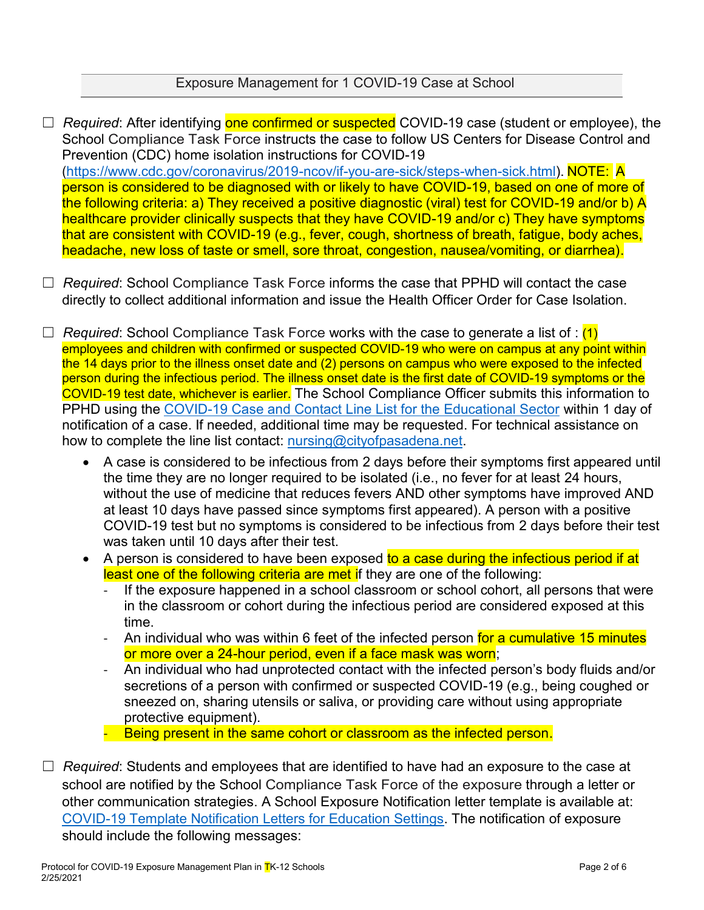### Exposure Management for 1 COVID-19 Case at School

□ *Required*: After identifying one confirmed or suspected COVID-19 case (student or employee), the School Compliance Task Force instructs the case to follow US Centers for Disease Control and Prevention (CDC) home isolation instructions for COVID-19 (https://www.cdc.gov/coronavirus/2019-ncov/if-you-are-sick/steps-when-sick.html). NOTE: A person is considered to be diagnosed with or likely to have COVID-19, based on one of more of the following criteria: a) They received a positive diagnostic (viral) test for COVID-19 and/or b) A healthcare provider clinically suspects that they have COVID-19 and/or c) They have symptoms that are consistent with COVID-19 (e.g., fever, cough, shortness of breath, fatigue, body aches, headache, new loss of taste or smell, sore throat, congestion, nausea/vomiting, or diarrhea).

□ *Required*: School Compliance Task Force informs the case that PPHD will contact the case directly to collect additional information and issue the Health Officer Order for Case Isolation.

☐ *Required*: School Compliance Task Force works with the case to generate a list of : (1) employees and children with confirmed or suspected COVID-19 who were on campus at any point within the 14 days prior to the illness onset date and (2) persons on campus who were exposed to the infected person during the infectious period. The illness onset date is the first date of COVID-19 symptoms or the COVID-19 test date, whichever is earlier. The School Compliance Officer submits this information to PPHD using the COVID-19 Case and Contact Line List for the Educational Sector within 1 day of notification of a case. If needed, additional time may be requested. For technical assistance on how to complete the line list contact: nursing@cityofpasadena.net.

- A case is considered to be infectious from 2 days before their symptoms first appeared until the time they are no longer required to be isolated (i.e., no fever for at least 24 hours, without the use of medicine that reduces fevers AND other symptoms have improved AND at least 10 days have passed since symptoms first appeared). A person with a positive COVID-19 test but no symptoms is considered to be infectious from 2 days before their test was taken until 10 days after their test.
- A person is considered to have been exposed to a case during the infectious period if at least one of the following criteria are met if they are one of the following:
	- If the exposure happened in a school classroom or school cohort, all persons that were in the classroom or cohort during the infectious period are considered exposed at this time.
	- An individual who was within 6 feet of the infected person for a cumulative 15 minutes or more over a 24-hour period, even if a face mask was worn;
	- An individual who had unprotected contact with the infected person's body fluids and/or secretions of a person with confirmed or suspected COVID-19 (e.g., being coughed or sneezed on, sharing utensils or saliva, or providing care without using appropriate protective equipment).

- Being present in the same cohort or classroom as the infected person.

☐ *Required*: Students and employees that are identified to have had an exposure to the case at school are notified by the School Compliance Task Force of the exposure through a letter or other communication strategies. A School Exposure Notification letter template is available at: COVID-19 Template Notification Letters for Education Settings. The notification of exposure should include the following messages: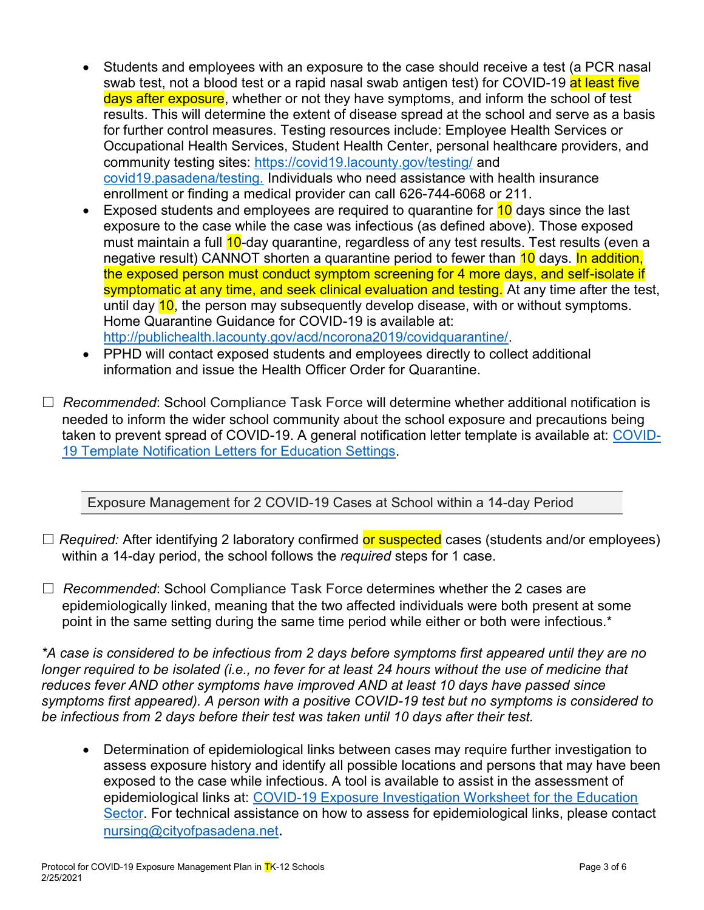- Students and employees with an exposure to the case should receive a test (a PCR nasal swab test, not a blood test or a rapid nasal swab antigen test) for COVID-19 at least five days after exposure, whether or not they have symptoms, and inform the school of test results. This will determine the extent of disease spread at the school and serve as a basis for further control measures. Testing resources include: Employee Health Services or Occupational Health Services, Student Health Center, personal healthcare providers, and community testing sites: https://covid19.lacounty.gov/testing/ and covid19.pasadena/testing. Individuals who need assistance with health insurance enrollment or finding a medical provider can call 626-744-6068 or 211.
- Exposed students and employees are required to quarantine for  $10$  days since the last exposure to the case while the case was infectious (as defined above). Those exposed must maintain a full 10-day quarantine, regardless of any test results. Test results (even a negative result) CANNOT shorten a quarantine period to fewer than 10 days. In addition, the exposed person must conduct symptom screening for 4 more days, and self-isolate if symptomatic at any time, and seek clinical evaluation and testing. At any time after the test, until day 10, the person may subsequently develop disease, with or without symptoms. Home Quarantine Guidance for COVID-19 is available at: http://publichealth.lacounty.gov/acd/ncorona2019/covidquarantine/.
- PPHD will contact exposed students and employees directly to collect additional information and issue the Health Officer Order for Quarantine.
- ☐ *Recommended*: School Compliance Task Force will determine whether additional notification is needed to inform the wider school community about the school exposure and precautions being taken to prevent spread of COVID-19. A general notification letter template is available at: COVID-19 Template Notification Letters for Education Settings.

Exposure Management for 2 COVID-19 Cases at School within a 14-day Period

- □ *Required:* After identifying 2 laboratory confirmed or suspected cases (students and/or employees) within a 14-day period, the school follows the *required* steps for 1 case.
- ☐ *Recommended*: School Compliance Task Force determines whether the 2 cases are epidemiologically linked, meaning that the two affected individuals were both present at some point in the same setting during the same time period while either or both were infectious.\*

*\*A case is considered to be infectious from 2 days before symptoms first appeared until they are no longer required to be isolated (i.e., no fever for at least 24 hours without the use of medicine that reduces fever AND other symptoms have improved AND at least 10 days have passed since symptoms first appeared). A person with a positive COVID-19 test but no symptoms is considered to be infectious from 2 days before their test was taken until 10 days after their test.*

• Determination of epidemiological links between cases may require further investigation to assess exposure history and identify all possible locations and persons that may have been exposed to the case while infectious. A tool is available to assist in the assessment of epidemiological links at: COVID-19 Exposure Investigation Worksheet for the Education Sector. For technical assistance on how to assess for epidemiological links, please contact nursing@cityofpasadena.net.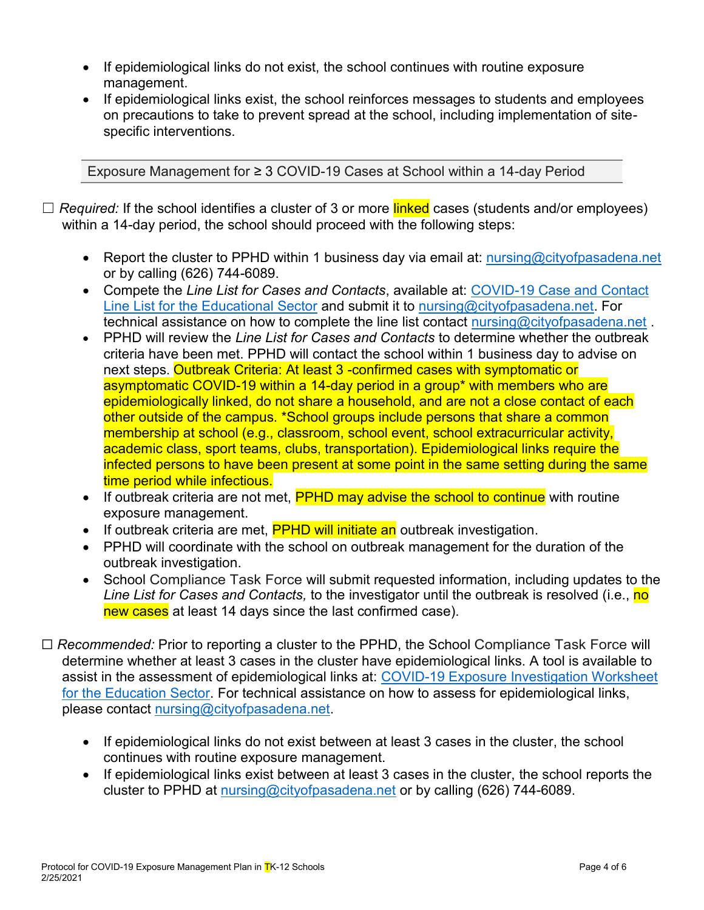- If epidemiological links do not exist, the school continues with routine exposure management.
- If epidemiological links exist, the school reinforces messages to students and employees on precautions to take to prevent spread at the school, including implementation of sitespecific interventions.

Exposure Management for ≥ 3 COVID-19 Cases at School within a 14-day Period

- □ *Required:* If the school identifies a cluster of 3 or more linked cases (students and/or employees) within a 14-day period, the school should proceed with the following steps:
	- Exercit Report the cluster to PPHD within 1 business day via email at: nursing@cityofpasadena.net or by calling (626) 744-6089.
	- x Compete the *Line List for Cases and Contacts*, available at: COVID-19 Case and Contact Line List for the Educational Sector and submit it to nursing@cityofpasadena.net. For technical assistance on how to complete the line list contact nursing@cityofpasadena.net.
	- x PPHD will review the *Line List for Cases and Contacts* to determine whether the outbreak criteria have been met. PPHD will contact the school within 1 business day to advise on next steps. Outbreak Criteria: At least 3 -confirmed cases with symptomatic or asymptomatic COVID-19 within a 14-day period in a group\* with members who are epidemiologically linked, do not share a household, and are not a close contact of each other outside of the campus. \*School groups include persons that share a common membership at school (e.g., classroom, school event, school extracurricular activity, academic class, sport teams, clubs, transportation). Epidemiological links require the infected persons to have been present at some point in the same setting during the same time period while infectious.
	- If outbreak criteria are not met, PPHD may advise the school to continue with routine exposure management.
	- If outbreak criteria are met, **PPHD will initiate an** outbreak investigation.
	- PPHD will coordinate with the school on outbreak management for the duration of the outbreak investigation.
	- School Compliance Task Force will submit requested information, including updates to the *Line List for Cases and Contacts,* to the investigator until the outbreak is resolved (i.e., no new cases at least 14 days since the last confirmed case).
- ☐ *Recommended:* Prior to reporting a cluster to the PPHD, the School Compliance Task Force will determine whether at least 3 cases in the cluster have epidemiological links. A tool is available to assist in the assessment of epidemiological links at: COVID-19 Exposure Investigation Worksheet for the Education Sector. For technical assistance on how to assess for epidemiological links, please contact nursing@cityofpasadena.net.
	- If epidemiological links do not exist between at least 3 cases in the cluster, the school continues with routine exposure management.
	- If epidemiological links exist between at least 3 cases in the cluster, the school reports the cluster to PPHD at nursing@cityofpasadena.net or by calling (626) 744-6089.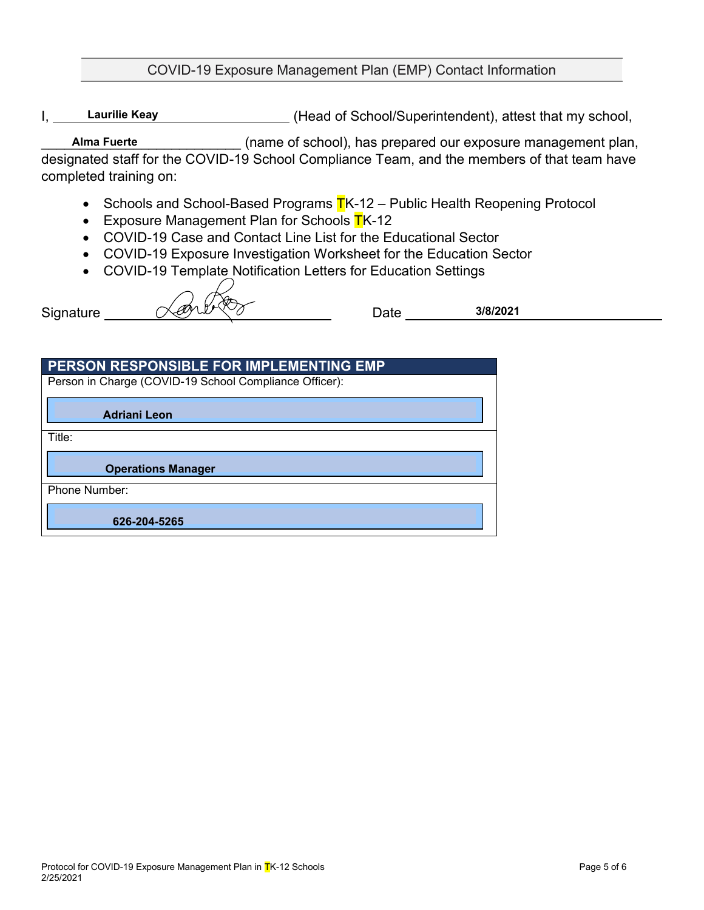### COVID-19 Exposure Management Plan (EMP) Contact Information

I, Laurilie Keay Chronic Head of School/Superintendent), attest that my school, **Laurilie Keay**

(name of school), has prepared our exposure management plan, designated staff for the COVID-19 School Compliance Team, and the members of that team have completed training on: **Alma Fuerte**

- Schools and School-Based Programs  $TK-12$  Public Health Reopening Protocol
- Exposure Management Plan for Schools  $TK-12$
- COVID-19 Case and Contact Line List for the Educational Sector
- COVID-19 Exposure Investigation Worksheet for the Education Sector
- COVID-19 Template Notification Letters for Education Settings

Signature Communication Date **3/8/2021**

| PERSON RESPONSIBLE FOR IMPLEMENTING EMP                |  |
|--------------------------------------------------------|--|
| Person in Charge (COVID-19 School Compliance Officer): |  |
| <b>Adriani Leon</b>                                    |  |
| Title:                                                 |  |
| <b>Operations Manager</b>                              |  |
| Phone Number:                                          |  |
| 626-204-5265                                           |  |